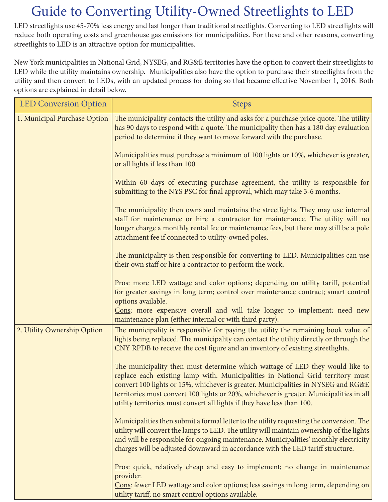## Guide to Converting Utility-Owned Streetlights to LED

LED streetlights use 45-70% less energy and last longer than traditional streetlights. Converting to LED streetlights will reduce both operating costs and greenhouse gas emissions for municipalities. For these and other reasons, converting streetlights to LED is an attractive option for municipalities.

New York municipalities in National Grid, NYSEG, and RG&E territories have the option to convert their streetlights to LED while the utility maintains ownership. Municipalities also have the option to purchase their streetlights from the utility and then convert to LEDs, with an updated process for doing so that became effective November 1, 2016. Both options are explained in detail below.

| <b>LED Conversion Option</b> | <b>Steps</b>                                                                                                                                                                                                                                                                                                                                                                                                               |
|------------------------------|----------------------------------------------------------------------------------------------------------------------------------------------------------------------------------------------------------------------------------------------------------------------------------------------------------------------------------------------------------------------------------------------------------------------------|
| 1. Municipal Purchase Option | The municipality contacts the utility and asks for a purchase price quote. The utility<br>has 90 days to respond with a quote. The municipality then has a 180 day evaluation<br>period to determine if they want to move forward with the purchase.                                                                                                                                                                       |
|                              | Municipalities must purchase a minimum of 100 lights or 10%, whichever is greater,<br>or all lights if less than 100.                                                                                                                                                                                                                                                                                                      |
|                              | Within 60 days of executing purchase agreement, the utility is responsible for<br>submitting to the NYS PSC for final approval, which may take 3-6 months.                                                                                                                                                                                                                                                                 |
|                              | The municipality then owns and maintains the streetlights. They may use internal<br>staff for maintenance or hire a contractor for maintenance. The utility will no<br>longer charge a monthly rental fee or maintenance fees, but there may still be a pole<br>attachment fee if connected to utility-owned poles.                                                                                                        |
|                              | The municipality is then responsible for converting to LED. Municipalities can use<br>their own staff or hire a contractor to perform the work.                                                                                                                                                                                                                                                                            |
|                              | Pros: more LED wattage and color options; depending on utility tariff, potential<br>for greater savings in long term; control over maintenance contract; smart control<br>options available.<br>Cons: more expensive overall and will take longer to implement; need new<br>maintenance plan (either internal or with third party).                                                                                        |
| 2. Utility Ownership Option  | The municipality is responsible for paying the utility the remaining book value of<br>lights being replaced. The municipality can contact the utility directly or through the<br>CNY RPDB to receive the cost figure and an inventory of existing streetlights.                                                                                                                                                            |
|                              | The municipality then must determine which wattage of LED they would like to<br>replace each existing lamp with. Municipalities in National Grid territory must<br>convert 100 lights or 15%, whichever is greater. Municipalities in NYSEG and RG&E<br>territories must convert 100 lights or 20%, whichever is greater. Municipalities in all<br>utility territories must convert all lights if they have less than 100. |
|                              | Municipalities then submit a formal letter to the utility requesting the conversion. The<br>utility will convert the lamps to LED. The utility will maintain ownership of the lights<br>and will be responsible for ongoing maintenance. Municipalities' monthly electricity<br>charges will be adjusted downward in accordance with the LED tariff structure.                                                             |
|                              | Pros: quick, relatively cheap and easy to implement; no change in maintenance<br>provider.<br>Cons: fewer LED wattage and color options; less savings in long term, depending on<br>utility tariff; no smart control options available.                                                                                                                                                                                    |